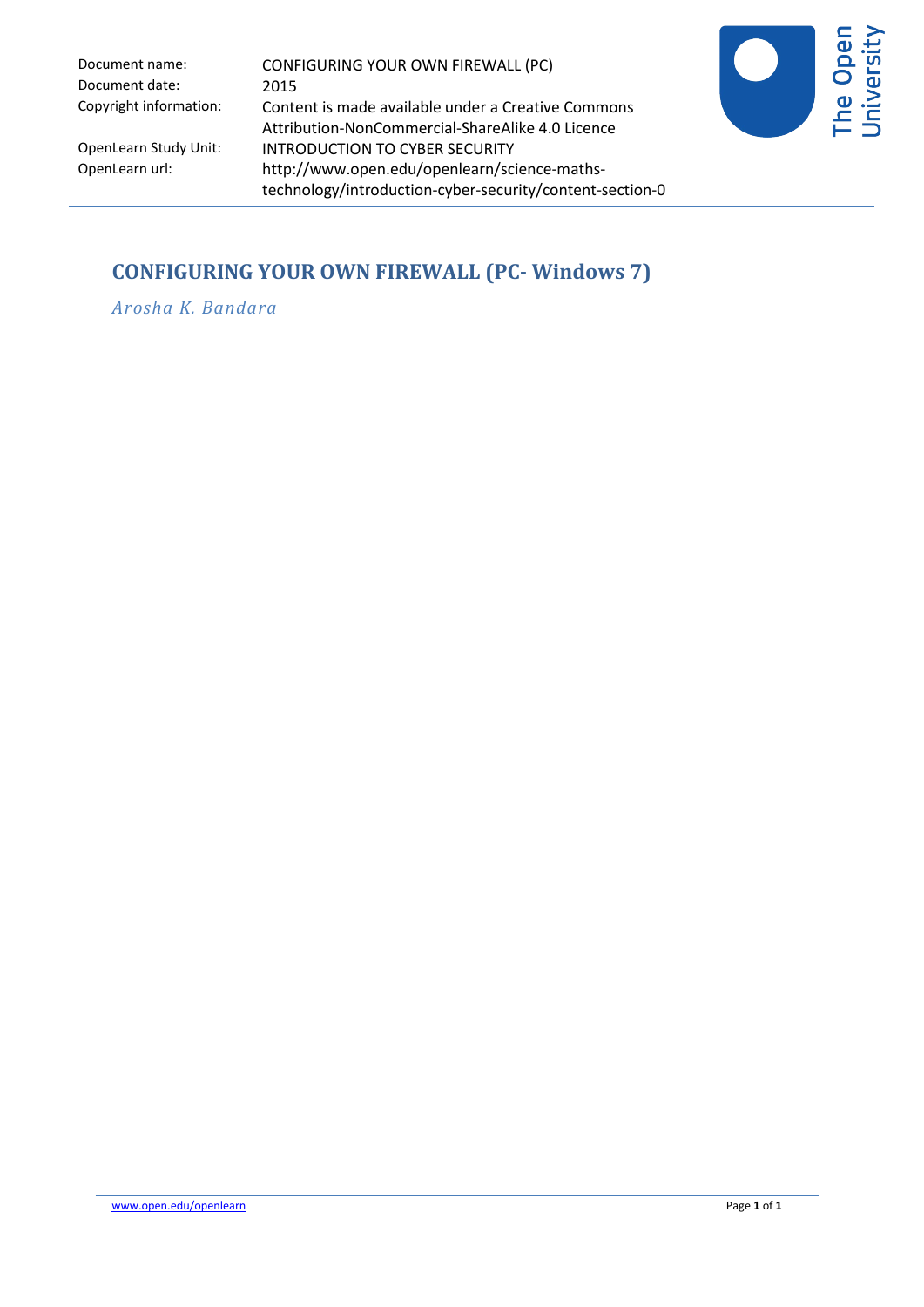Document date: 2015

Document name: CONFIGURING YOUR OWN FIREWALL (PC) Copyright information: Content is made available under a Creative Commons Attribution-NonCommercial-ShareAlike 4.0 Licence OpenLearn Study Unit: INTRODUCTION TO CYBER SECURITY<br>OpenLearn url: http://www.open.edu/openlearn/sci http://www.open.edu/openlearn/science-mathstechnology/introduction-cyber-security/content-section-0



## **CONFIGURING YOUR OWN FIREWALL (PC- Windows 7)**

*Arosha K. Bandara*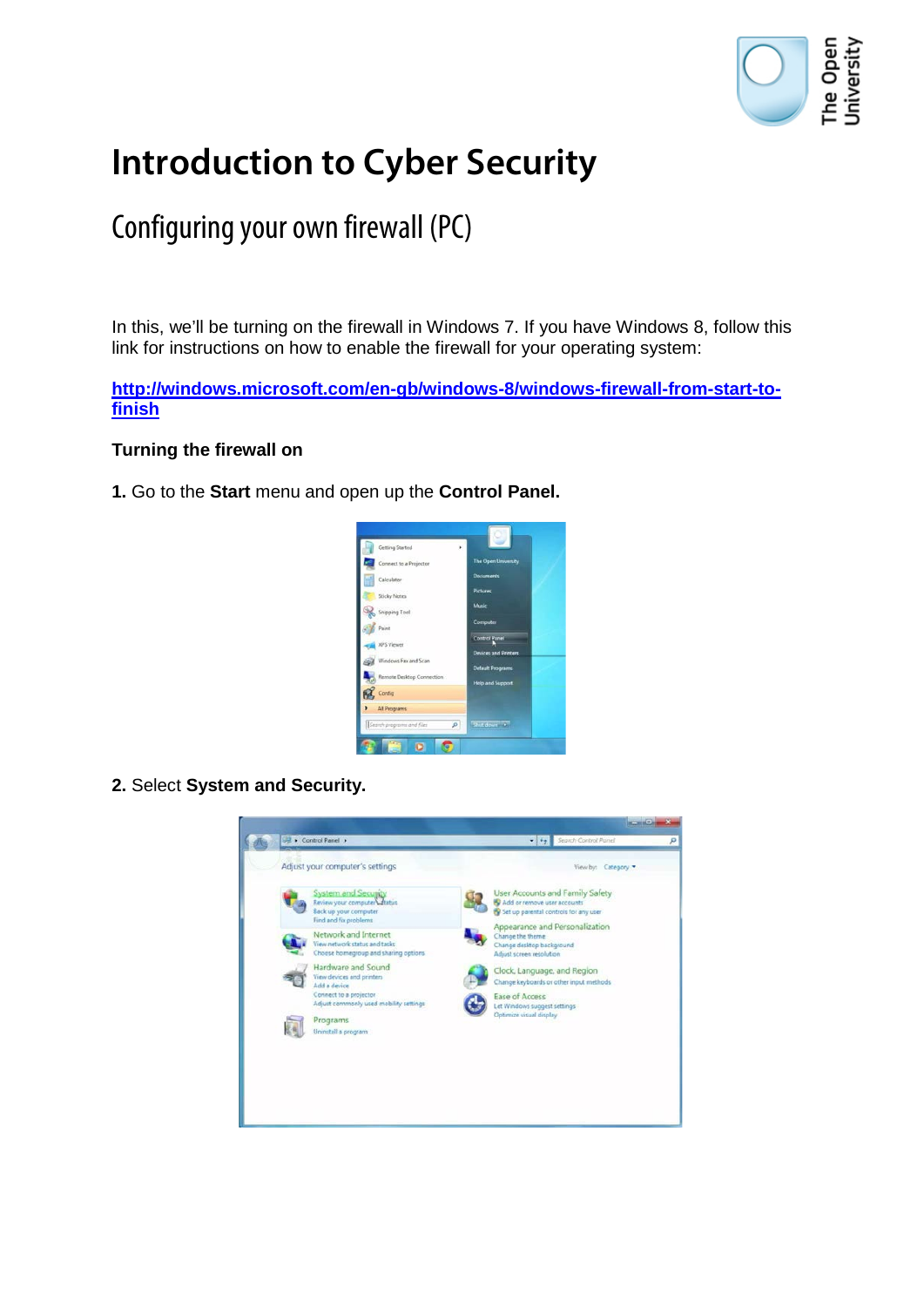

# **Introduction to Cyber Security**

## Configuring your own firewall (PC)

In this, we'll be turning on the firewall in Windows 7. If you have Windows 8, follow this link for instructions on how to enable the firewall for your operating system:

**[http://windows.microsoft.com/en-gb/windows-8/windows-firewall-from-start-to](http://windows.microsoft.com/en-gb/windows-8/windows-firewall-from-start-to-finish)[finish](http://windows.microsoft.com/en-gb/windows-8/windows-firewall-from-start-to-finish)**

### **Turning the firewall on**

**1.** Go to the **Start** menu and open up the **Control Panel.** 



**2.** Select **System and Security.**

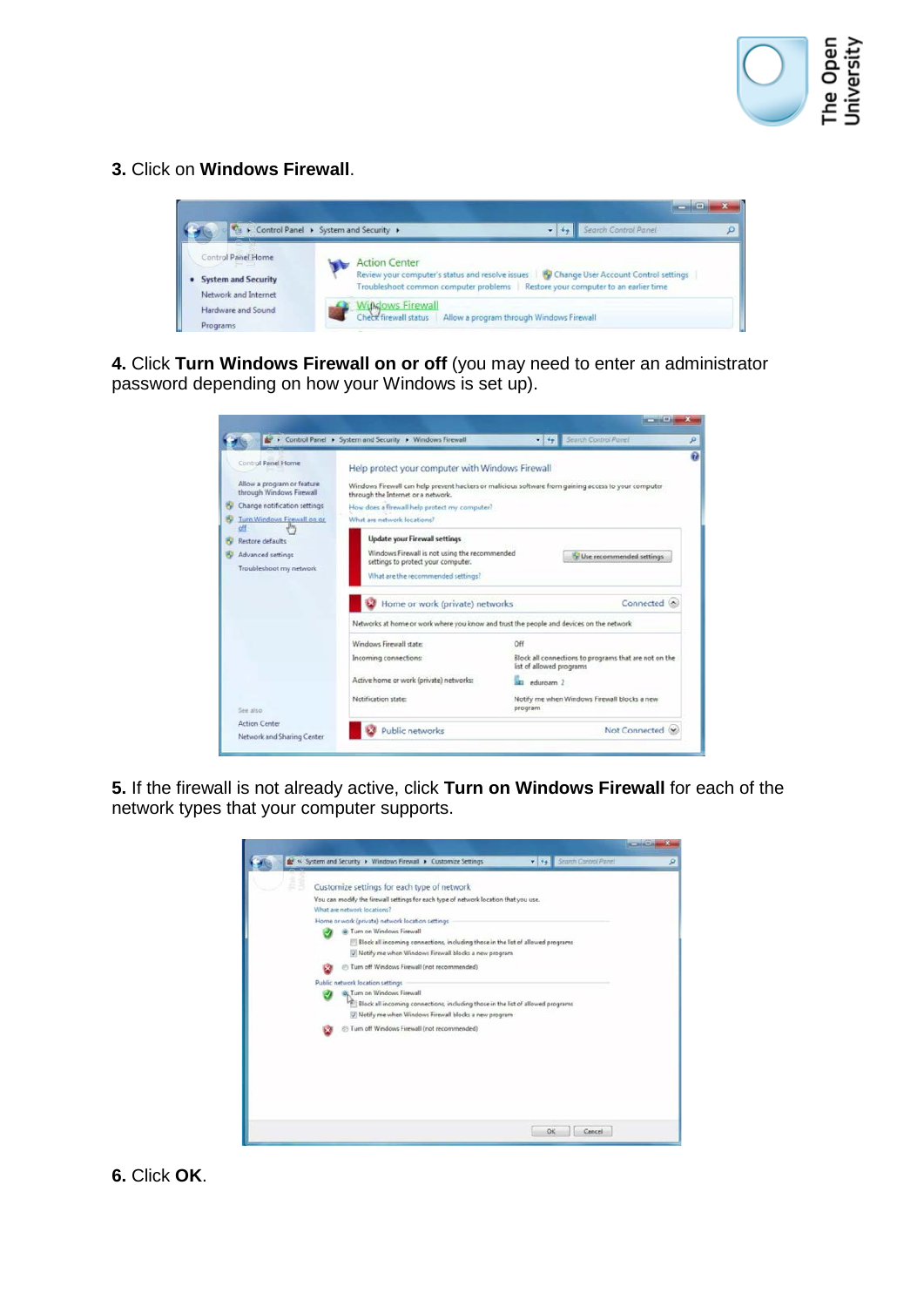

**3.** Click on **Windows Firewall**.



**4.** Click **Turn Windows Firewall on or off** (you may need to enter an administrator password depending on how your Windows is set up).

|                                                                                                                                                    | Control Panel > System and Security > Windows Firewall                                                                                                                                                                                                                                                                 | Search Control Painel                                                                             |  |  |  |
|----------------------------------------------------------------------------------------------------------------------------------------------------|------------------------------------------------------------------------------------------------------------------------------------------------------------------------------------------------------------------------------------------------------------------------------------------------------------------------|---------------------------------------------------------------------------------------------------|--|--|--|
| Control Panel Home<br>Allow a program or feature<br>through Windows Firewall<br>Change notification settings<br>Turn Windows Firewall on or<br>öff | Help protect your computer with Windows Firewall<br>Windows Firewall can help prevent hackers or malicious software from gaining access to your computer<br>through the Internet or a network.<br>How does a firewall help protect my computer?<br>What are network locations?<br><b>Update your Firewall settings</b> |                                                                                                   |  |  |  |
| Restore defaults<br>Advanced settings<br>Troubleshoot my network                                                                                   | Windows Firewall is not using the recommended<br>settings to protect your computer.<br>What are the recommended settings?<br>Home or work (private) networks<br>Networks at home or work where you know and trust the people and devices on the network                                                                | Use recommended settings<br>Connected <sup>(A)</sup>                                              |  |  |  |
|                                                                                                                                                    | Windows Firewall states<br>Incoming connections:                                                                                                                                                                                                                                                                       | Off<br>Block all connections to programs that are not on the                                      |  |  |  |
| See also                                                                                                                                           | Active home or work (private) networks:<br>Notification state:                                                                                                                                                                                                                                                         | list of allowed programs.<br>eduroam 2<br>Notify me when Windows Firewall blocks a new<br>program |  |  |  |
| <b>Action Center</b>                                                                                                                               | Public networks                                                                                                                                                                                                                                                                                                        | Not Connected (x)                                                                                 |  |  |  |

**5.** If the firewall is not already active, click **Turn on Windows Firewall** for each of the network types that your computer supports.

|                                  |                                                                                                                                                                                                                             | $-14.4$ | Search Cantrol Panel |  |
|----------------------------------|-----------------------------------------------------------------------------------------------------------------------------------------------------------------------------------------------------------------------------|---------|----------------------|--|
|                                  | Customize settings for each type of network                                                                                                                                                                                 |         |                      |  |
| What are network locations?      | You can modify the firewall settings for each type of network location that you use.                                                                                                                                        |         |                      |  |
|                                  | Home or work (private) network location settings<br>C Turn on Windows Firewall<br>Block all incoming connections, including those in the list of allowed programs<br>V Notify me when Windows Firewall blocks a new program |         |                      |  |
| Public network location settings | Turn off Windows Firewall (not recommended)<br>Q. Turn on Windows Firewall<br>Block all incoming connections, including those in the list of allowed programs                                                               |         |                      |  |
|                                  | (J) Notify me when Windows Firewall blocks a new program<br>Turn off Windows Firewall (not recommended)                                                                                                                     |         |                      |  |
|                                  |                                                                                                                                                                                                                             |         |                      |  |
|                                  |                                                                                                                                                                                                                             | OK      | Cancel               |  |

**6.** Click **OK**.